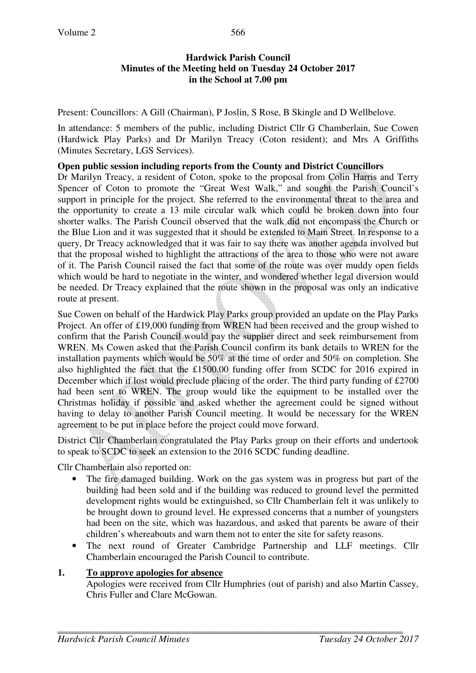#### **Hardwick Parish Council Minutes of the Meeting held on Tuesday 24 October 2017 in the School at 7.00 pm**

Present: Councillors: A Gill (Chairman), P Joslin, S Rose, B Skingle and D Wellbelove.

In attendance: 5 members of the public, including District Cllr G Chamberlain, Sue Cowen (Hardwick Play Parks) and Dr Marilyn Treacy (Coton resident); and Mrs A Griffiths (Minutes Secretary, LGS Services).

### **Open public session including reports from the County and District Councillors**

Dr Marilyn Treacy, a resident of Coton, spoke to the proposal from Colin Harris and Terry Spencer of Coton to promote the "Great West Walk," and sought the Parish Council's support in principle for the project. She referred to the environmental threat to the area and the opportunity to create a 13 mile circular walk which could be broken down into four shorter walks. The Parish Council observed that the walk did not encompass the Church or the Blue Lion and it was suggested that it should be extended to Main Street. In response to a query, Dr Treacy acknowledged that it was fair to say there was another agenda involved but that the proposal wished to highlight the attractions of the area to those who were not aware of it. The Parish Council raised the fact that some of the route was over muddy open fields which would be hard to negotiate in the winter, and wondered whether legal diversion would be needed. Dr Treacy explained that the route shown in the proposal was only an indicative route at present.

Sue Cowen on behalf of the Hardwick Play Parks group provided an update on the Play Parks Project. An offer of £19,000 funding from WREN had been received and the group wished to confirm that the Parish Council would pay the supplier direct and seek reimbursement from WREN. Ms Cowen asked that the Parish Council confirm its bank details to WREN for the installation payments which would be 50% at the time of order and 50% on completion. She also highlighted the fact that the £1500.00 funding offer from SCDC for 2016 expired in December which if lost would preclude placing of the order. The third party funding of £2700 had been sent to WREN. The group would like the equipment to be installed over the Christmas holiday if possible and asked whether the agreement could be signed without having to delay to another Parish Council meeting. It would be necessary for the WREN agreement to be put in place before the project could move forward.

District Cllr Chamberlain congratulated the Play Parks group on their efforts and undertook to speak to SCDC to seek an extension to the 2016 SCDC funding deadline.

Cllr Chamberlain also reported on:

- The fire damaged building. Work on the gas system was in progress but part of the building had been sold and if the building was reduced to ground level the permitted development rights would be extinguished, so Cllr Chamberlain felt it was unlikely to be brought down to ground level. He expressed concerns that a number of youngsters had been on the site, which was hazardous, and asked that parents be aware of their children's whereabouts and warn them not to enter the site for safety reasons.
- The next round of Greater Cambridge Partnership and LLF meetings. Cllr Chamberlain encouraged the Parish Council to contribute.

### **1. To approve apologies for absence**

Apologies were received from Cllr Humphries (out of parish) and also Martin Cassey, Chris Fuller and Clare McGowan.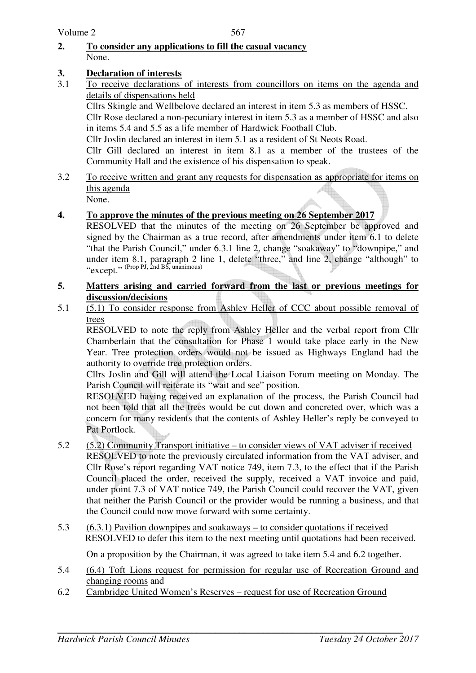## **2. To consider any applications to fill the casual vacancy** None.

# **3. Declaration of interests**

3.1 To receive declarations of interests from councillors on items on the agenda and details of dispensations held

Cllrs Skingle and Wellbelove declared an interest in item 5.3 as members of HSSC. Cllr Rose declared a non-pecuniary interest in item 5.3 as a member of HSSC and also in items 5.4 and 5.5 as a life member of Hardwick Football Club.

Cllr Joslin declared an interest in item 5.1 as a resident of St Neots Road.

Cllr Gill declared an interest in item 8.1 as a member of the trustees of the Community Hall and the existence of his dispensation to speak.

3.2 To receive written and grant any requests for dispensation as appropriate for items on this agenda

None.

# **4. To approve the minutes of the previous meeting on 26 September 2017**

RESOLVED that the minutes of the meeting on 26 September be approved and signed by the Chairman as a true record, after amendments under item 6.1 to delete "that the Parish Council," under 6.3.1 line 2, change "soakaway" to "downpipe," and under item 8.1, paragraph 2 line 1, delete "three," and line 2, change "although" to "except." (Prop PJ, 2nd BS, unanimous)

### **5. Matters arising and carried forward from the last or previous meetings for discussion/decisions**

5.1 (5.1) To consider response from Ashley Heller of CCC about possible removal of trees

 RESOLVED to note the reply from Ashley Heller and the verbal report from Cllr Chamberlain that the consultation for Phase 1 would take place early in the New Year. Tree protection orders would not be issued as Highways England had the authority to override tree protection orders.

 Cllrs Joslin and Gill will attend the Local Liaison Forum meeting on Monday. The Parish Council will reiterate its "wait and see" position.

RESOLVED having received an explanation of the process, the Parish Council had not been told that all the trees would be cut down and concreted over, which was a concern for many residents that the contents of Ashley Heller's reply be conveyed to Pat Portlock.

- 5.2 (5.2) Community Transport initiative to consider views of VAT adviser if received RESOLVED to note the previously circulated information from the VAT adviser, and Cllr Rose's report regarding VAT notice 749, item 7.3, to the effect that if the Parish Council placed the order, received the supply, received a VAT invoice and paid, under point 7.3 of VAT notice 749, the Parish Council could recover the VAT, given that neither the Parish Council or the provider would be running a business, and that the Council could now move forward with some certainty.
- 5.3 (6.3.1) Pavilion downpipes and soakaways to consider quotations if received RESOLVED to defer this item to the next meeting until quotations had been received.

On a proposition by the Chairman, it was agreed to take item 5.4 and 6.2 together.

- 5.4 (6.4) Toft Lions request for permission for regular use of Recreation Ground and changing rooms and
- 6.2 Cambridge United Women's Reserves request for use of Recreation Ground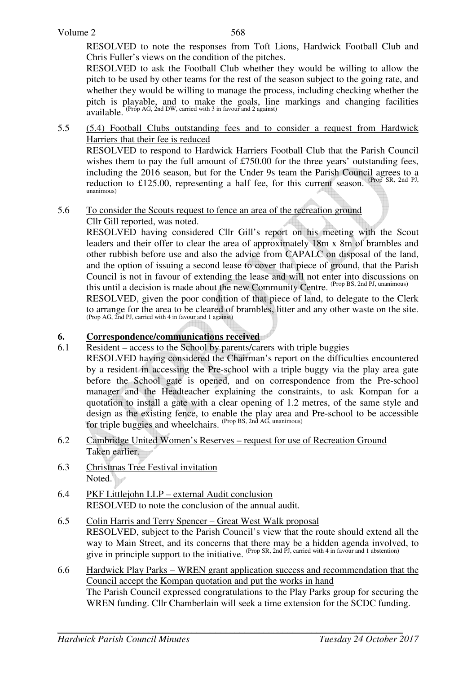RESOLVED to note the responses from Toft Lions, Hardwick Football Club and Chris Fuller's views on the condition of the pitches.

RESOLVED to ask the Football Club whether they would be willing to allow the pitch to be used by other teams for the rest of the season subject to the going rate, and whether they would be willing to manage the process, including checking whether the pitch is playable, and to make the goals, line markings and changing facilities room to program. That we make the goals, lifter available. (Prop AG, 2nd DW, carried with 3 in favour and 2 against)

5.5 (5.4) Football Clubs outstanding fees and to consider a request from Hardwick Harriers that their fee is reduced

RESOLVED to respond to Hardwick Harriers Football Club that the Parish Council wishes them to pay the full amount of £750.00 for the three years' outstanding fees, including the 2016 season, but for the Under 9s team the Parish Council agrees to a reduction to £125.00, representing a half fee, for this current season. (Prop SR, 2nd PJ, unanimous)

5.6 To consider the Scouts request to fence an area of the recreation ground Cllr Gill reported, was noted.

RESOLVED having considered Cllr Gill's report on his meeting with the Scout leaders and their offer to clear the area of approximately 18m x 8m of brambles and other rubbish before use and also the advice from CAPALC on disposal of the land, and the option of issuing a second lease to cover that piece of ground, that the Parish Council is not in favour of extending the lease and will not enter into discussions on this until a decision is made about the new Community Centre. (Prop BS, 2nd PJ, unanimous)

RESOLVED, given the poor condition of that piece of land, to delegate to the Clerk to arrange for the area to be cleared of brambles, litter and any other waste on the site. (Prop AG, 2nd PJ, carried with 4 in favour and 1 against)

### **6. Correspondence/communications received**

6.1 Resident – access to the School by parents/carers with triple buggies

RESOLVED having considered the Chairman's report on the difficulties encountered by a resident in accessing the Pre-school with a triple buggy via the play area gate before the School gate is opened, and on correspondence from the Pre-school manager and the Headteacher explaining the constraints, to ask Kompan for a quotation to install a gate with a clear opening of 1.2 metres, of the same style and design as the existing fence, to enable the play area and Pre-school to be accessible for triple buggies and wheelchairs. (Prop BS, 2nd AG, unanimous)

- 6.2 Cambridge United Women's Reserves request for use of Recreation Ground Taken earlier.
- 6.3 Christmas Tree Festival invitation Noted.
- 6.4 PKF Littlejohn LLP external Audit conclusion RESOLVED to note the conclusion of the annual audit.
- 6.5 Colin Harris and Terry Spencer Great West Walk proposal RESOLVED, subject to the Parish Council's view that the route should extend all the way to Main Street, and its concerns that there may be a hidden agenda involved, to give in principle support to the initiative. (Prop SR, 2nd PJ, carried with 4 in favour and 1 abstention)
- 6.6 Hardwick Play Parks WREN grant application success and recommendation that the Council accept the Kompan quotation and put the works in hand The Parish Council expressed congratulations to the Play Parks group for securing the WREN funding. Cllr Chamberlain will seek a time extension for the SCDC funding.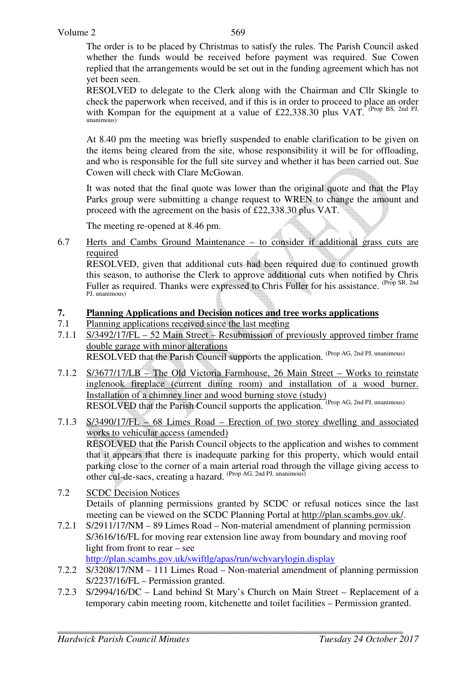The order is to be placed by Christmas to satisfy the rules. The Parish Council asked whether the funds would be received before payment was required. Sue Cowen replied that the arrangements would be set out in the funding agreement which has not yet been seen.

 RESOLVED to delegate to the Clerk along with the Chairman and Cllr Skingle to check the paperwork when received, and if this is in order to proceed to place an order with Kompan for the equipment at a value of £22,338.30 plus VAT. (Prop BS, 2nd PJ, unanimous)

At 8.40 pm the meeting was briefly suspended to enable clarification to be given on the items being cleared from the site, whose responsibility it will be for offloading, and who is responsible for the full site survey and whether it has been carried out. Sue Cowen will check with Clare McGowan.

It was noted that the final quote was lower than the original quote and that the Play Parks group were submitting a change request to WREN to change the amount and proceed with the agreement on the basis of £22,338.30 plus VAT.

The meeting re-opened at 8.46 pm.

6.7 Herts and Cambs Ground Maintenance – to consider if additional grass cuts are required

 RESOLVED, given that additional cuts had been required due to continued growth this season, to authorise the Clerk to approve additional cuts when notified by Chris Fuller as required. Thanks were expressed to Chris Fuller for his assistance. (Prop SR, 2nd) PJ, unanimous)

### **7. Planning Applications and Decision notices and tree works applications**

- 7.1 Planning applications received since the last meeting
- 7.1.1 S/3492/17/FL 52 Main Street Resubmission of previously approved timber frame double garage with minor alterations RESOLVED that the Parish Council supports the application. (Prop AG, 2nd PJ, unanimous)
- 7.1.2 S/3677/17/LB The Old Victoria Farmhouse, 26 Main Street Works to reinstate inglenook fireplace (current dining room) and installation of a wood burner. Installation of a chimney liner and wood burning stove (study) RESOLVED that the Parish Council supports the application. (Prop AG, 2nd PJ, unanimous)
- 7.1.3 S/3490/17/FL 68 Limes Road Erection of two storey dwelling and associated works to vehicular access (amended) RESOLVED that the Parish Council objects to the application and wishes to comment that it appears that there is inadequate parking for this property, which would entail parking close to the corner of a main arterial road through the village giving access to other cul-de-sacs, creating a hazard. <sup>(Prop AG, 2nd PJ, unanimous)</sup>
- 7.2 SCDC Decision Notices Details of planning permissions granted by SCDC or refusal notices since the last meeting can be viewed on the SCDC Planning Portal at http://plan.scambs.gov.uk/.
- 7.2.1 S/2911/17/NM 89 Limes Road Non-material amendment of planning permission S/3616/16/FL for moving rear extension line away from boundary and moving roof light from front to rear – see

http://plan.scambs.gov.uk/swiftlg/apas/run/wchvarylogin.display

- 7.2.2 S/3208/17/NM 111 Limes Road Non-material amendment of planning permission S/2237/16/FL – Permission granted.
- 7.2.3 S/2994/16/DC Land behind St Mary's Church on Main Street Replacement of a temporary cabin meeting room, kitchenette and toilet facilities – Permission granted.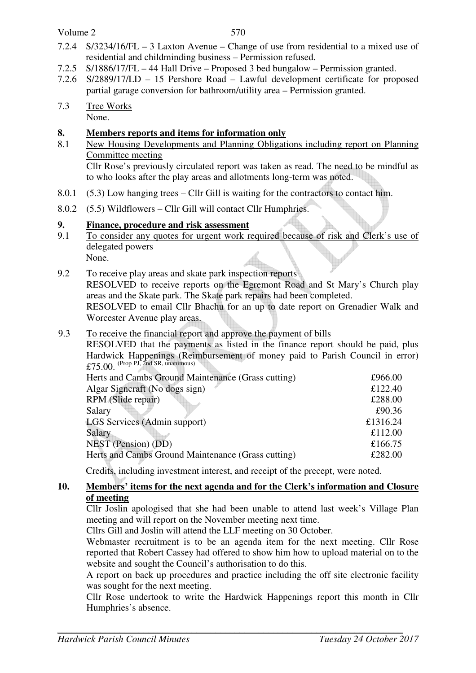#### Volume 2

- 7.2.4 S/3234/16/FL 3 Laxton Avenue Change of use from residential to a mixed use of residential and childminding business – Permission refused.
- 7.2.5 S/1886/17/FL 44 Hall Drive Proposed 3 bed bungalow Permission granted.
- 7.2.6 S/2889/17/LD 15 Pershore Road Lawful development certificate for proposed partial garage conversion for bathroom/utility area – Permission granted.
- 7.3 Tree Works None.

### **8. Members reports and items for information only**

8.1 New Housing Developments and Planning Obligations including report on Planning Committee meeting Cllr Rose's previously circulated report was taken as read. The need to be mindful as

to who looks after the play areas and allotments long-term was noted.

- 8.0.1 (5.3) Low hanging trees Cllr Gill is waiting for the contractors to contact him.
- 8.0.2 (5.5) Wildflowers Cllr Gill will contact Cllr Humphries.

### **9. Finance, procedure and risk assessment**

- 9.1 To consider any quotes for urgent work required because of risk and Clerk's use of delegated powers
	- None.
- 9.2 To receive play areas and skate park inspection reports

RESOLVED to receive reports on the Egremont Road and St Mary's Church play areas and the Skate park. The Skate park repairs had been completed.

RESOLVED to email Cllr Bhachu for an up to date report on Grenadier Walk and Worcester Avenue play areas.

### 9.3 To receive the financial report and approve the payment of bills

RESOLVED that the payments as listed in the finance report should be paid, plus Hardwick Happenings (Reimbursement of money paid to Parish Council in error) £75.00. (Prop PJ, 2nd SR, unanimous)

| Herts and Cambs Ground Maintenance (Grass cutting) | £966.00  |
|----------------------------------------------------|----------|
| Algar Signeraft (No dogs sign)                     | £122.40  |
| RPM (Slide repair)                                 | £288.00  |
| Salary                                             | £90.36   |
| LGS Services (Admin support)                       | £1316.24 |
| Salary                                             | £112.00  |
| NEST (Pension) (DD)                                | £166.75  |
| Herts and Cambs Ground Maintenance (Grass cutting) | £282.00  |
|                                                    |          |

Credits, including investment interest, and receipt of the precept, were noted.

## **10. Members' items for the next agenda and for the Clerk's information and Closure of meeting**

Cllr Joslin apologised that she had been unable to attend last week's Village Plan meeting and will report on the November meeting next time.

Cllrs Gill and Joslin will attend the LLF meeting on 30 October.

Webmaster recruitment is to be an agenda item for the next meeting. Cllr Rose reported that Robert Cassey had offered to show him how to upload material on to the website and sought the Council's authorisation to do this.

A report on back up procedures and practice including the off site electronic facility was sought for the next meeting.

Cllr Rose undertook to write the Hardwick Happenings report this month in Cllr Humphries's absence.